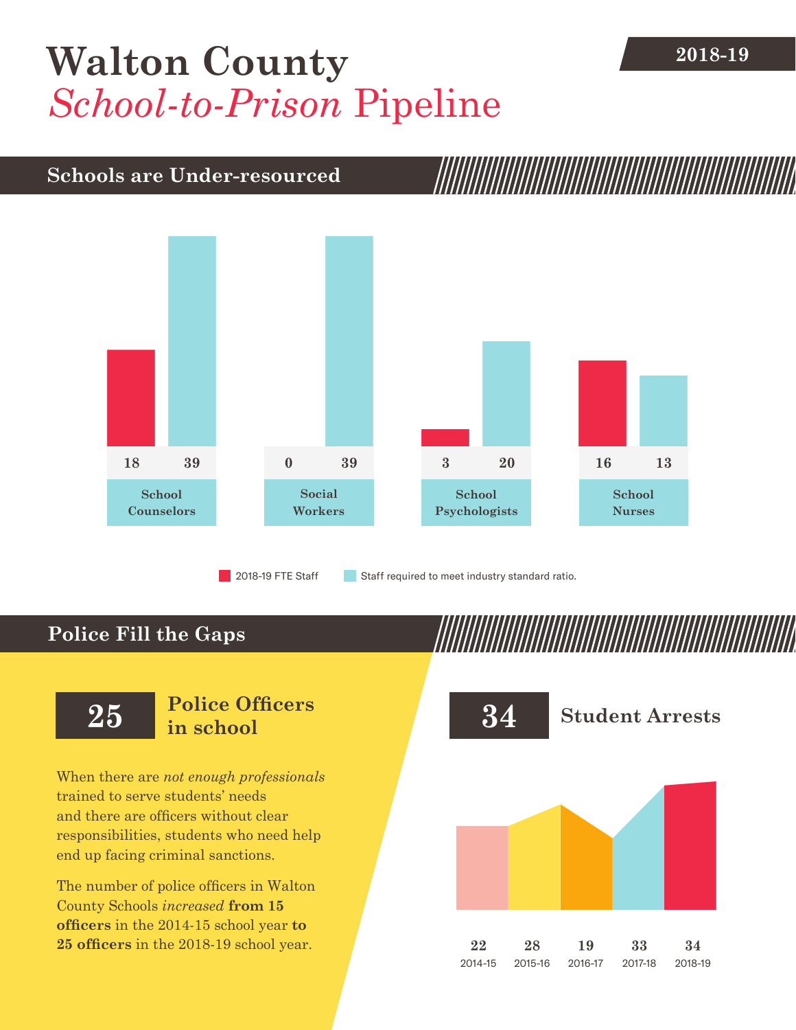## **[Walton County](DBF_County)** 2018-19 *School-to-Prison* Pipeline

### **Schools are Under-resourced**



2018-19 FTE Staff **Staff required to meet industry standard ratio.** 

### **Police Fill the Gaps**

When there are *not enough professionals* trained to serve students' needs and there are officers without clear responsibilities, students who need help end up facing criminal sanctions.

The number of police officers in [Walton](DBF_County)  [County](DBF_County) Schools *increased* **from [15](DBF_PO1415)  officers** in the 2014-15 school year **to [25](DBF_PO) officers** in the 2018-19 school year.